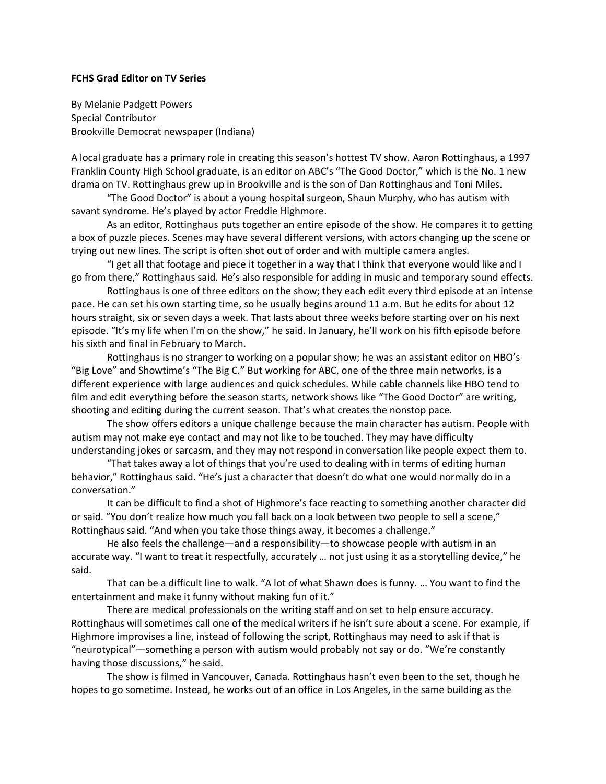## **FCHS Grad Editor on TV Series**

By Melanie Padgett Powers Special Contributor Brookville Democrat newspaper (Indiana)

A local graduate has a primary role in creating this season's hottest TV show. Aaron Rottinghaus, a 1997 Franklin County High School graduate, is an editor on ABC's "The Good Doctor," which is the No. 1 new drama on TV. Rottinghaus grew up in Brookville and is the son of Dan Rottinghaus and Toni Miles.

"The Good Doctor" is about a young hospital surgeon, Shaun Murphy, who has autism with savant syndrome. He's played by actor Freddie Highmore.

As an editor, Rottinghaus puts together an entire episode of the show. He compares it to getting a box of puzzle pieces. Scenes may have several different versions, with actors changing up the scene or trying out new lines. The script is often shot out of order and with multiple camera angles.

"I get all that footage and piece it together in a way that I think that everyone would like and I go from there," Rottinghaus said. He's also responsible for adding in music and temporary sound effects.

Rottinghaus is one of three editors on the show; they each edit every third episode at an intense pace. He can set his own starting time, so he usually begins around 11 a.m. But he edits for about 12 hours straight, six or seven days a week. That lasts about three weeks before starting over on his next episode. "It's my life when I'm on the show," he said. In January, he'll work on his fifth episode before his sixth and final in February to March.

Rottinghaus is no stranger to working on a popular show; he was an assistant editor on HBO's "Big Love" and Showtime's "The Big C." But working for ABC, one of the three main networks, is a different experience with large audiences and quick schedules. While cable channels like HBO tend to film and edit everything before the season starts, network shows like "The Good Doctor" are writing, shooting and editing during the current season. That's what creates the nonstop pace.

The show offers editors a unique challenge because the main character has autism. People with autism may not make eye contact and may not like to be touched. They may have difficulty understanding jokes or sarcasm, and they may not respond in conversation like people expect them to.

"That takes away a lot of things that you're used to dealing with in terms of editing human behavior," Rottinghaus said. "He's just a character that doesn't do what one would normally do in a conversation."

It can be difficult to find a shot of Highmore's face reacting to something another character did or said. "You don't realize how much you fall back on a look between two people to sell a scene," Rottinghaus said. "And when you take those things away, it becomes a challenge."

He also feels the challenge—and a responsibility—to showcase people with autism in an accurate way. "I want to treat it respectfully, accurately … not just using it as a storytelling device," he said.

That can be a difficult line to walk. "A lot of what Shawn does is funny. … You want to find the entertainment and make it funny without making fun of it."

There are medical professionals on the writing staff and on set to help ensure accuracy. Rottinghaus will sometimes call one of the medical writers if he isn't sure about a scene. For example, if Highmore improvises a line, instead of following the script, Rottinghaus may need to ask if that is "neurotypical"—something a person with autism would probably not say or do. "We're constantly having those discussions," he said.

The show is filmed in Vancouver, Canada. Rottinghaus hasn't even been to the set, though he hopes to go sometime. Instead, he works out of an office in Los Angeles, in the same building as the